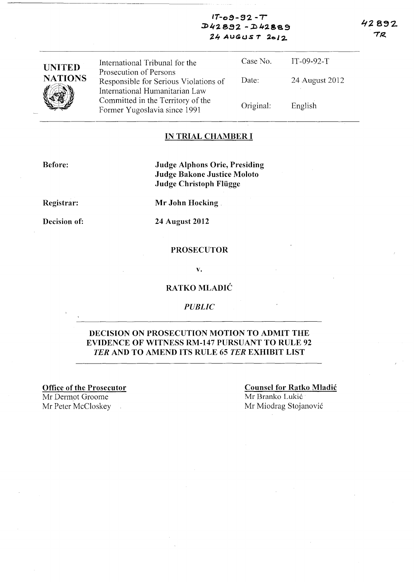42892 TR

#### $IT-0.9 - 92 - T$ **.J)lf2. 8.92 -** ~4:2.869 **24 AUG(JS T 20J 2.**

| <b>UNITED</b>  | International Tribunal for the<br>Prosecution of Persons                | Case No.  | $IT-09-92-T$   |
|----------------|-------------------------------------------------------------------------|-----------|----------------|
| <b>NATIONS</b> | Responsible for Serious Violations of<br>International Humanitarian Law | Date:     | 24 August 2012 |
|                | Committed in the Territory of the<br>Former Yugoslavia since 1991       | Original: | English        |

#### **IN TRIAL CHAMBER I**

**Before:** 

**Judge Alphons Orie, Presiding Judge Bakone Justice Moloto Judge Christoph Fltigge** 

**Registrar:** 

**Decision of:** 

**Mr John Hocking.** 

**24 August 2012** 

## **PROSECUTOR**

v.

## **RA TKO MLADIC**

*PUBLIC* 

#### **DECISION ON PROSECUTION MOTION TO ADMIT THE EVIDENCE OF WITNESS RM-147 PURSUANT TO RULE 92**  *TER* **AND TO AMEND ITS RULE 65** *TER* **EXHIBIT LIST**

**Office of the Prosecutor**  Mr Dermot Groome Mr Peter McCloskey Mr Miodrag Stojanović

**Counsel for Ratko Mladic**  Mr Branko Lukić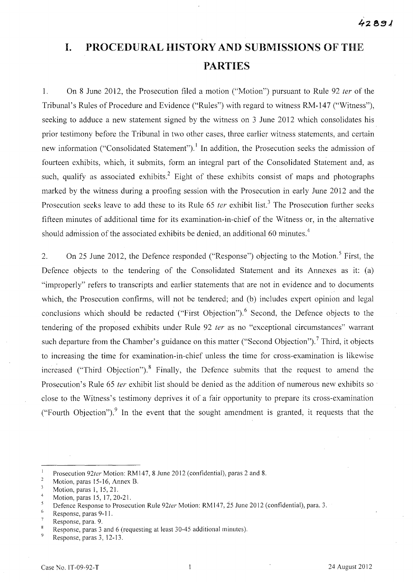# **I. PROCEDURAL HISTORY AND SUBMISSIONS OF** THE **PARTIES**

1. On 8 June 2012, the Prosecution filed a motion ("Motion") pursuant to Rule 92 fer of the Tribunal's Rules of Procedure and Evidence ("Rules") with regard to witness RM-147 ("Witness"), seeking to adduce a new statement signed by the witness on 3 June 2012 which consolidates his prior testimony before the Tribunal in two other cases, three earlier witness statements, and certain new information ("Consolidated Statement").<sup>1</sup> In addition, the Prosecution seeks the admission of fourteen exhibits, which, it submits, form an integral part of the Consolidated Statement and, as such, qualify as associated exhibits.<sup>2</sup> Eight of these exhibits consist of maps and photographs marked by the witness during a proofing session with the Prosecution in early June 2012 and the Prosecution seeks leave to add these to its Rule  $65$  ter exhibit list.<sup>3</sup> The Prosecution further seeks fifteen minutes of additional time for its examination-in-chief of the Witness or, in the alternative should admission of the associated exhibits be denied, an additional 60 minutes.<sup>4</sup>

2. On 25 June 2012, the Defence responded ("Response") objecting to the Motion.<sup>5</sup> First, the Defence objects to the tendering of the Consolidated Statement and its Annexes as it: (a) "improperly" refers to transcripts and earlier statements that are not in evidence and to documents which, the Prosecution confirms, will not be tendered; and (b) includes expert opinion and legal conclusions which should be redacted ("First Objection").<sup>6</sup> Second, the Defence objects to the tendering of the proposed exhibits under Rule 92 *ter* as no "exceptional circumstances" warrant such departure from the Chamber's guidance on this matter ("Second Objection").<sup>7</sup> Third, it objects to increasing the time for examination-in-chief unless the time for cross-examination is likewise increased ("Third Objection").<sup>8</sup> Finally, the Defence submits that the request to amend the Prosecution's Rule 65 ter exhibit list should be denied as the addition of numerous new exhibits so close to the Witness's testimony deprives it of a fair opportunity to prepare its cross-examination ("Fourth Objection").<sup>9</sup> In the event that the sought amendment is granted, it requests that the

 $\overline{1}$ Prosecution *92ter* Motion: RM147, 8 June 2012 (confidential), paras 2 and 8.

 $\sqrt{2}$ Motion, paras 15-16, Annex B.

 $\overline{\mathbf{3}}$ Motion, paras I, 15, 21.

<sup>4</sup>  Motion, paras 15, 17,20-21.

 $\overline{5}$ Defence Response to Prosecution Rule *92ter* Motion: RM 147, 25 June 20 12 (confidential), para. 3.

<sup>6</sup> Response, paras 9-1 I.

 $\overline{7}$ Response, para. 9.

 $\,$  8  $\,$ Response, paras 3 and 6 (requesting at least 30-45 additional minutes).  $\ddot{q}$ 

Response, paras 3, 12-13.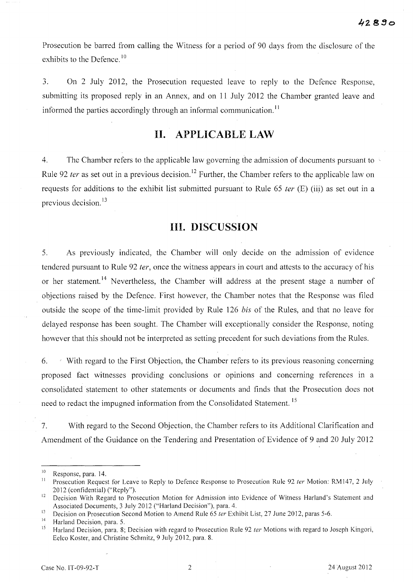Prosecution be barred from calling the Witness for a period of 90 days from the disclosure of the exhibits to the Defence.<sup>10</sup>

3. On 2 July 2012, the Prosecution requested leave to reply to the Defence Response, submitting its proposed reply in an Annex, and on **11** July 2012 the Chamber granted leave and informed the parties accordingly through an informal communication.<sup>11</sup>

## **11. APPLICABLE LAW**

4. The Chamber refers to the applicable law governing the admission of documents pursuant to Rule 92 *ter* as set out in a previous decision.<sup>12</sup> Further, the Chamber refers to the applicable law on requests for additions to the exhibit list submitted pursuant to Rule 65 *ter* (E) (iii) as set out in a previous decision.<sup>13</sup>

#### **Ill. DISCUSSION**

5. As previously indicated, the Chamber will only decide on the admission of evidence tendered pursuant to Rule 92 ter, once the witness appears in court and attests to the accuracy of his or her statement.<sup>14</sup> Nevertheless, the Chamber will address at the present stage a number of objections raised by the Defence. First however, the Chamber notes that the Response was filed outside the scope of the time-limit provided by Rule 126 *bis* of the Rules, and that no leave for delayed response has been sought. The Chamber will exceptionally consider the Response, noting however that this should not be interpreted as setting precedent for such deviations from the Rules.

6. 'With regard to the First Objection, the Chamber refers to its previous reasoning concerning proposed fact witnesses providing conclusions or opinions and concerning references in a consolidated statement to other statements or documents and finds that the Prosecution does not need to redact the impugned information from the Consolidated Statement. 15

7. With regard to the Second Objection, the Chamber refers to its Additional Clarification and Amendment of the Guidance on the Tendering and Presentation of Evidence of 9 and 20 July 2012

 $^{10}$  Response, para. 14.

Prosecution Request for Leave to Reply to Defence Response to Prosecution Rule 92 ter Motion: RM147, 2 July 20 12 (confidential) ("Reply").

<sup>&</sup>lt;sup>12</sup> Decision With Regard to Prosecution Motion for Admission into Evidence of Witness Harland's Statement and Associated Documents, 3 July 2012 ("Harland Decision"), para. 4.

<sup>&</sup>lt;sup>13</sup> Decision on Prosecution Second Motion to Amend Rule 65 *ter* Exhibit List, 27 June 2012, paras 5-6.

<sup>&</sup>lt;sup>14</sup> Harland Decision, para. 5.<br><sup>15</sup> Harland Decision, para. 8.

Harland Decision, para. 8; Decision with regard to Prosecution Rule 92 ter Motions with regard to Joseph Kingori, Eelco Koster, and Christine Schmitz, 9 July 2012, para. 8.